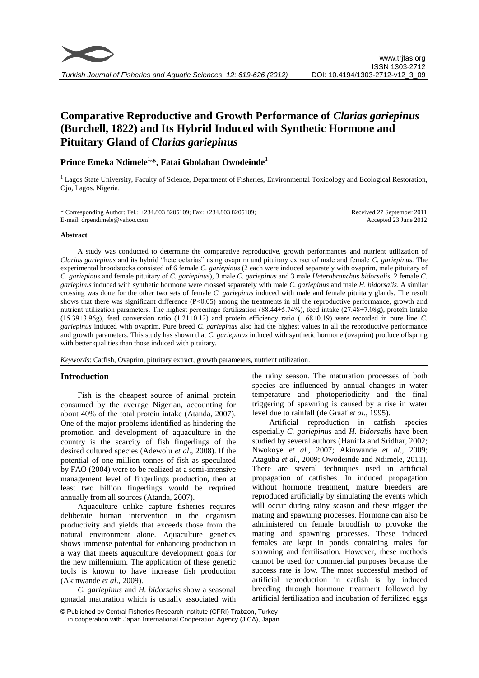

# **Comparative Reproductive and Growth Performance of** *Clarias gariepinus* **(Burchell, 1822) and Its Hybrid Induced with Synthetic Hormone and Pituitary Gland of** *Clarias gariepinus*

## **Prince Emeka Ndimele1, \*, Fatai Gbolahan Owodeinde<sup>1</sup>**

<sup>1</sup> Lagos State University, Faculty of Science, Department of Fisheries, Environmental Toxicology and Ecological Restoration, Ojo, Lagos. Nigeria.

| * Corresponding Author: Tel.: +234.803 8205109; Fax: +234.803 8205109; | Received 27 September 2011 |
|------------------------------------------------------------------------|----------------------------|
| E-mail: drpendimele@yahoo.com                                          | Accepted 23 June 2012      |
|                                                                        |                            |

## **Abstract**

A study was conducted to determine the comparative reproductive, growth performances and nutrient utilization of *Clarias gariepinus* and its hybrid "heteroclarias" using ovaprim and pituitary extract of male and female *C. gariepinus.* The experimental broodstocks consisted of 6 female *C. gariepinus* (2 each were induced separately with ovaprim, male pituitary of *C. gariepinus* and female pituitary of *C. gariepinus*), 3 male *C. gariepinus* and 3 male *Heterobranchus bidorsalis*. 2 female *C. gariepinus* induced with synthetic hormone were crossed separately with male *C. gariepinus* and male *H. bidorsalis*. A similar crossing was done for the other two sets of female *C. gariepinus* induced with male and female pituitary glands. The result shows that there was significant difference (P<0.05) among the treatments in all the reproductive performance, growth and nutrient utilization parameters. The highest percentage fertilization (88.44±5.74%), feed intake (27.48±7.08g), protein intake (15.39±3.96g), feed conversion ratio (1.21±0.12) and protein efficiency ratio (1.68±0.19) were recorded in pure line *C. gariepinus* induced with ovaprim. Pure breed *C. gariepinus* also had the highest values in all the reproductive performance and growth parameters. This study has shown that *C. gariepinus* induced with synthetic hormone (ovaprim) produce offspring with better qualities than those induced with pituitary.

*Keywords*: Catfish, Ovaprim, pituitary extract, growth parameters, nutrient utilization.

## **Introduction**

Fish is the cheapest source of animal protein consumed by the average Nigerian, accounting for about 40% of the total protein intake (Atanda, 2007). One of the major problems identified as hindering the promotion and development of aquaculture in the country is the scarcity of fish fingerlings of the desired cultured species (Adewolu *et al*., 2008). If the potential of one million tonnes of fish as speculated by FAO (2004) were to be realized at a semi-intensive management level of fingerlings production, then at least two billion fingerlings would be required annually from all sources (Atanda, 2007).

Aquaculture unlike capture fisheries requires deliberate human intervention in the organism productivity and yields that exceeds those from the natural environment alone. Aquaculture genetics shows immense potential for enhancing production in a way that meets aquaculture development goals for the new millennium. The application of these genetic tools is known to have increase fish production (Akinwande *et al*., 2009).

*C. gariepinus* and *H. bidorsalis* show a seasonal gonadal maturation which is usually associated with the rainy season. The maturation processes of both species are influenced by annual changes in water temperature and photoperiodicity and the final triggering of spawning is caused by a rise in water level due to rainfall (de Graaf *et al*., 1995).

Artificial reproduction in catfish species especially *C. gariepinus* and *H. bidorsalis* have been studied by several authors (Haniffa and Sridhar, 2002; Nwokoye *et al.,* 2007; Akinwande *et al.*, 2009; Ataguba *et al.*, 2009; Owodeinde and Ndimele, 2011). There are several techniques used in artificial propagation of catfishes. In induced propagation without hormone treatment, mature breeders are reproduced artificially by simulating the events which will occur during rainy season and these trigger the mating and spawning processes. Hormone can also be administered on female broodfish to provoke the mating and spawning processes. These induced females are kept in ponds containing males for spawning and fertilisation. However, these methods cannot be used for commercial purposes because the success rate is low. The most successful method of artificial reproduction in catfish is by induced breeding through hormone treatment followed by artificial fertilization and incubation of fertilized eggs

<sup>©</sup> Published by Central Fisheries Research Institute (CFRI) Trabzon, Turkey in cooperation with Japan International Cooperation Agency (JICA), Japan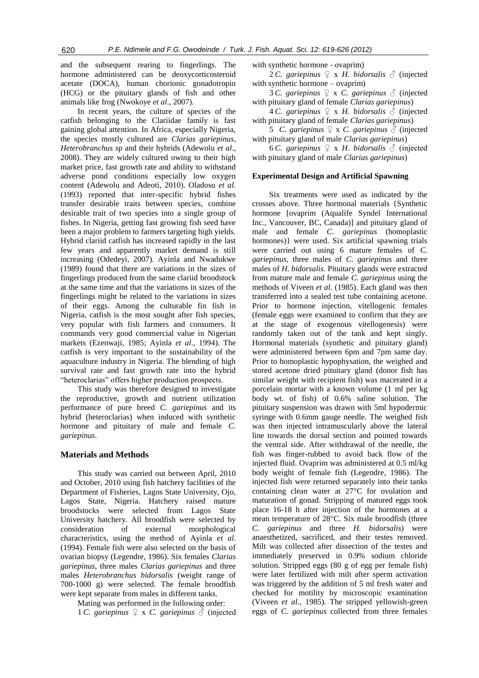and the subsequent rearing to fingerlings. The hormone administered can be deoxycorticosteroid acetate (DOCA), human chorionic gonadotropin (HCG) or the pituitary glands of fish and other animals like frog (Nwokoye *et al*., 2007).

In recent years, the culture of species of the catfish belonging to the Clariidae family is fast gaining global attention. In Africa, especially Nigeria, the species mostly cultured are *Clarias gariepinus, Heterobranchus* sp and their hybrids (Adewolu *et al*., 2008). They are widely cultured owing to their high market price, fast growth rate and ability to withstand adverse pond conditions especially low oxygen content (Adewolu and Adeoti, 2010). Oladosu *et al*. (1993) reported that inter-specific hybrid fishes transfer desirable traits between species, combine desirable trait of two species into a single group of fishes. In Nigeria, getting fast growing fish seed have been a major problem to farmers targeting high yields. Hybrid clariid catfish has increased rapidly in the last few years and apparently market demand is still increasing (Odedeyi, 2007). Ayinla and Nwadukwe (1989) found that there are variations in the sizes of fingerlings produced from the same clariid broodstock at the same time and that the variations in sizes of the fingerlings might be related to the variations in sizes of their eggs. Among the culturable fin fish in Nigeria, catfish is the most sought after fish species, very popular with fish farmers and consumers. It commands very good commercial value in Nigerian markets (Ezenwaji, 1985; Ayinla *et al*., 1994). The catfish is very important to the sustainability of the aquaculture industry in Nigeria. The blending of high survival rate and fast growth rate into the hybrid "heteroclarias" offers higher production prospects.

This study was therefore designed to investigate the reproductive, growth and nutrient utilization performance of pure breed *C. gariepinus* and its hybrid (heteroclarias) when induced with synthetic hormone and pituitary of male and female *C. gariepinus*.

## **Materials and Methods**

This study was carried out between April, 2010 and October, 2010 using fish hatchery facilities of the Department of Fisheries, Lagos State University, Ojo, Lagos State, Nigeria. Hatchery raised mature broodstocks were selected from Lagos State University hatchery. All broodfish were selected by consideration of external morphological characteristics, using the method of Ayinla *et al*. (1994). Female fish were also selected on the basis of ovarian biopsy (Legendre, 1986). Six females *Clarias gariepinus*, three males *Clarias gariepinus* and three males *Heterobranchus bidorsalis* (weight range of 700-1000 g) were selected. The female broodfish were kept separate from males in different tanks.

Mating was performed in the following order:

1 *C. gariepinus*  $\varphi$  x *C. gariepinus*  $\varphi$  (injected

with synthetic hormone - ovaprim)

2 *C. gariepinus*  $\mathcal{Q} \times H$ *. bidorsalis*  $\partial$  (injected with synthetic hormone – ovaprim)

3 *C. gariepinus*  $\mathcal{Q}$  x *C. gariepinus*  $\mathcal{J}$  (injected with pituitary gland of female *Clarias gariepinus*)

```
4 C. gariepinus \mathcal{Q} \times H. bidorsalis \partial (injected
with pituitary gland of female Clarias gariepinus)
```
5 *C. gariepinus* ♀ x *C. gariepinus* ♂ (injected with pituitary gland of male *Clarias gariepinus*)

6 *C. gariepinus*  $\mathcal{Q}$  x *H. bidorsalis*  $\mathcal{S}$  (injected with pituitary gland of male *Clarias gariepinus*)

### **Experimental Design and Artificial Spawning**

Six treatments were used as indicated by the crosses above. Three hormonal materials {Synthetic hormone [ovaprim (Aqualife Syndel International Inc., Vancouver, BC, Canada)] and pituitary gland of male and female *C. gariepinus* (homoplastic hormones)} were used. Six artificial spawning trials were carried out using 6 mature females of *C. gariepinus*, three males of *C. gariepinus* and three males of *H. bidorsalis.* Pituitary glands were extracted from mature male and female *C. gariepinus* using the methods of Viveen *et al.* (1985). Each gland was then transferred into a sealed test tube containing acetone. Prior to hormone injection, vitellogenic females (female eggs were examined to confirm that they are at the stage of exogenous vitellogenesis) were randomly taken out of the tank and kept singly. Hormonal materials (synthetic and pituitary gland) were administered between 6pm and 7pm same day. Prior to homoplastic hypophysation, the weighed and stored acetone dried pituitary gland (donor fish has similar weight with recipient fish) was macerated in a porcelain mortar with a known volume (1 ml per kg body wt. of fish) of 0.6% saline solution. The pituitary suspension was drawn with 5ml hypodermic syringe with 0.6mm gauge needle. The weighed fish was then injected intramuscularly above the lateral line towards the dorsal section and pointed towards the ventral side. After withdrawal of the needle, the fish was finger-rubbed to avoid back flow of the injected fluid. Ovaprim was administered at 0.5 ml/kg body weight of female fish (Legendre*,* 1986). The injected fish were returned separately into their tanks containing clean water at 27°C for ovulation and maturation of gonad. Stripping of matured eggs took place 16-18 h after injection of the hormones at a mean temperature of 28°C. Six male broodfish (three *C. gariepinus* and three *H. bidorsalis*) were anaesthetized, sacrificed, and their testes removed. Milt was collected after dissection of the testes and immediately preserved in 0.9% sodium chloride solution. Stripped eggs (80 g of egg per female fish) were later fertilized with milt after sperm activation was triggered by the addition of 5 ml fresh water and checked for motility by microscopic examination (Viveen *et al.*, 1985). The stripped yellowish-green eggs of *C. gariepinus* collected from three females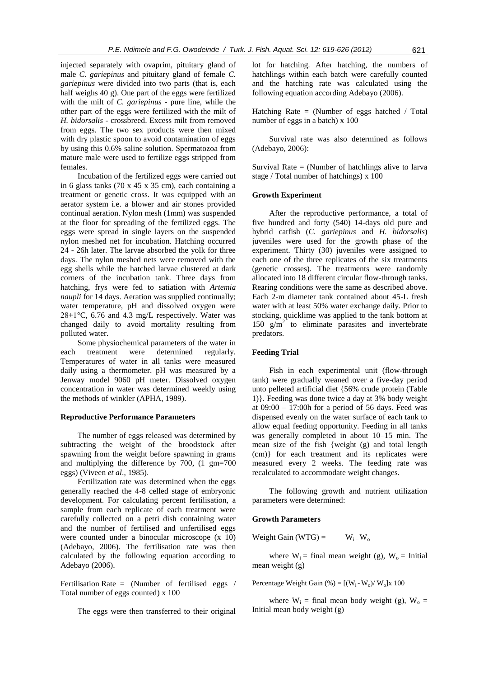injected separately with ovaprim, pituitary gland of male *C. gariepinus* and pituitary gland of female *C. gariepinus* were divided into two parts (that is, each half weighs 40 g). One part of the eggs were fertilized with the milt of *C. gariepinus* - pure line, while the other part of the eggs were fertilized with the milt of *H. bidorsalis* - crossbreed. Excess milt from removed from eggs. The two sex products were then mixed with dry plastic spoon to avoid contamination of eggs by using this 0.6% saline solution. Spermatozoa from mature male were used to fertilize eggs stripped from females.

Incubation of the fertilized eggs were carried out in 6 glass tanks (70 x 45 x 35 cm), each containing a treatment or genetic cross. It was equipped with an aerator system i.e. a blower and air stones provided continual aeration. Nylon mesh (1mm) was suspended at the floor for spreading of the fertilized eggs. The eggs were spread in single layers on the suspended nylon meshed net for incubation. Hatching occurred 24 - 26h later. The larvae absorbed the yolk for three days. The nylon meshed nets were removed with the egg shells while the hatched larvae clustered at dark corners of the incubation tank. Three days from hatching, frys were fed to satiation with *Artemia naupli* for 14 days. Aeration was supplied continually; water temperature, pH and dissolved oxygen were  $28\pm1^{\circ}$ C, 6.76 and 4.3 mg/L respectively. Water was changed daily to avoid mortality resulting from polluted water.

Some physiochemical parameters of the water in each treatment were determined regularly. Temperatures of water in all tanks were measured daily using a thermometer. pH was measured by a Jenway model 9060 pH meter. Dissolved oxygen concentration in water was determined weekly using the methods of winkler (APHA, 1989).

#### **Reproductive Performance Parameters**

The number of eggs released was determined by subtracting the weight of the broodstock after spawning from the weight before spawning in grams and multiplying the difference by 700, (1 gm=700 eggs) (Viveen *et al*., 1985).

Fertilization rate was determined when the eggs generally reached the 4-8 celled stage of embryonic development. For calculating percent fertilisation, a sample from each replicate of each treatment were carefully collected on a petri dish containing water and the number of fertilised and unfertilised eggs were counted under a binocular microscope (x 10) (Adebayo, 2006). The fertilisation rate was then calculated by the following equation according to Adebayo (2006).

Fertilisation Rate = (Number of fertilised eggs / Total number of eggs counted) x 100

The eggs were then transferred to their original

lot for hatching. After hatching, the numbers of hatchlings within each batch were carefully counted and the hatching rate was calculated using the following equation according Adebayo (2006).

Hatching Rate = (Number of eggs hatched / Total number of eggs in a batch) x 100

Survival rate was also determined as follows (Adebayo, 2006):

Survival Rate  $=$  (Number of hatchlings alive to larva stage / Total number of hatchings) x 100

#### **Growth Experiment**

After the reproductive performance, a total of five hundred and forty (540) 14-days old pure and hybrid catfish (*C. gariepinus* and *H. bidorsalis*) juveniles were used for the growth phase of the experiment. Thirty (30) juveniles were assigned to each one of the three replicates of the six treatments (genetic crosses). The treatments were randomly allocated into 18 different circular flow-through tanks. Rearing conditions were the same as described above. Each 2-m diameter tank contained about 45-L fresh water with at least 50% water exchange daily. Prior to stocking, quicklime was applied to the tank bottom at 150  $g/m^2$  to eliminate parasites and invertebrate predators.

#### **Feeding Trial**

Fish in each experimental unit (flow-through tank) were gradually weaned over a five-day period unto pelleted artificial diet {56% crude protein (Table 1)}. Feeding was done twice a day at 3% body weight at  $09:00 - 17:00h$  for a period of 56 days. Feed was dispensed evenly on the water surface of each tank to allow equal feeding opportunity. Feeding in all tanks was generally completed in about 10–15 min. The mean size of the fish {weight (g) and total length (cm)} for each treatment and its replicates were measured every 2 weeks. The feeding rate was recalculated to accommodate weight changes.

The following growth and nutrient utilization parameters were determined:

#### **Growth Parameters**

Weight Gain (WTG) =  $W_i$  –  $W_o$ 

where  $W_i$  = final mean weight (g),  $W_o$  = Initial mean weight (g)

Percentage Weight Gain  $(\%) = [(W_i - W_o)/W_o]x$  100

where  $W_i$  = final mean body weight (g),  $W_0$  = Initial mean body weight (g)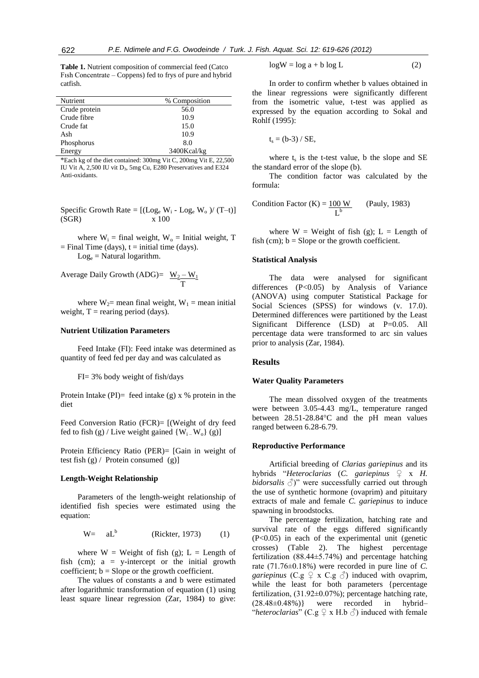**Table 1.** Nutrient composition of commercial feed (Catco Fısh Concentrate – Coppens) fed to frys of pure and hybrid catfish.

| Nutrient      | % Composition |
|---------------|---------------|
| Crude protein | 56.0          |
| Crude fibre   | 10.9          |
| Crude fat     | 15.0          |
| Ash           | 10.9          |
| Phosphorus    | 8.0           |
| Energy        | 3400Kcal/kg   |

\*Each kg of the diet contained: 300mg Vit C, 200mg Vit E, 22,500 IU Vit A, 2,500 IU vit D3, 5mg Cu, E280 Preservatives and E324 Anti-oxidants.

Specific Growth Rate = 
$$
[(Log_e W_i - Log_e W_o) / (T-t)]
$$
  
(SGR)  $x 100$ 

where  $W_i$  = final weight,  $W_o$  = Initial weight, T  $=$  Final Time (days),  $t =$  initial time (days).  $Log_e = Natural logarithm.$ 

Average Daily Growth (ADG)= 
$$
\frac{W_2-W_1}{T}
$$

where  $W_2$ = mean final weight,  $W_1$  = mean initial weight,  $T =$  rearing period (days).

## **Nutrient Utilization Parameters**

Feed Intake (FI): Feed intake was determined as quantity of feed fed per day and was calculated as

FI= 3% body weight of fish/days

Protein Intake (PI)= feed intake (g)  $x$  % protein in the diet

Feed Conversion Ratio (FCR)= [(Weight of dry feed fed to fish (g) / Live weight gained  $\{W_i-W_o\}$  (g)]

Protein Efficiency Ratio (PER)= [Gain in weight of test fish (g) / Protein consumed (g)]

## **Length-Weight Relationship**

Parameters of the length-weight relationship of identified fish species were estimated using the equation:

$$
W = aLb \t\t (Rickter, 1973) \t\t (1)
$$

where  $W = Weight of fish (g); L = Length of$ fish (cm);  $a = y-intercept$  or the initial growth coefficient;  $b =$ Slope or the growth coefficient.

The values of constants a and b were estimated after logarithmic transformation of equation (1) using least square linear regression (Zar, 1984) to give:

$$
log W = log a + b log L
$$
 (2)

In order to confirm whether b values obtained in the linear regressions were significantly different from the isometric value, t-test was applied as expressed by the equation according to Sokal and Rohlf (1995):

 $t_s = (b-3) / SE$ ,

where  $t_s$  is the t-test value, b the slope and SE the standard error of the slope (b).

The condition factor was calculated by the formula:

Condition Factor  $(K) = 100 W$  (Pauly, 1983) L b

where  $W = Weight of fish (g); L = Length of$ fish (cm);  $b =$  Slope or the growth coefficient.

## **Statistical Analysis**

The data were analysed for significant differences (P<0.05) by Analysis of Variance (ANOVA) using computer Statistical Package for Social Sciences (SPSS) for windows (v. 17.0). Determined differences were partitioned by the Least Significant Difference (LSD) at P=0.05. All percentage data were transformed to arc sin values prior to analysis (Zar, 1984).

#### **Results**

#### **Water Quality Parameters**

The mean dissolved oxygen of the treatments were between 3.05-4.43 mg/L, temperature ranged between 28.51-28.84°C and the pH mean values ranged between 6.28-6.79.

#### **Reproductive Performance**

Artificial breeding of *Clarias gariepinus* and its hybrids "*Heteroclarias* (*C. gariepinus* ♀ x *H. bidorsalis* ♂)" were successfully carried out through the use of synthetic hormone (ovaprim) and pituitary extracts of male and female *C. gariepinus* to induce spawning in broodstocks.

The percentage fertilization, hatching rate and survival rate of the eggs differed significantly (P<0.05) in each of the experimental unit (genetic crosses) (Table 2). The highest percentage fertilization (88.44±5.74%) and percentage hatching rate (71.76±0.18%) were recorded in pure line of *C. gariepinus* (C.g  $\subseteq$  x C.g  $\triangle$ ) induced with ovaprim, while the least for both parameters {percentage fertilization, (31.92±0.07%); percentage hatching rate, (28.48±0.48%)} were recorded in hybrid– "*heteroclarias*" (C.g  $\varphi$  x H.b  $\varphi$ ) induced with female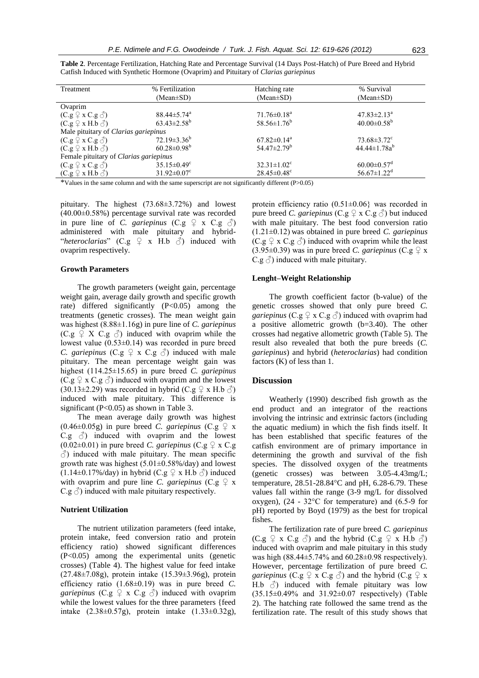| Treatment                              | % Fertilization               | Hatching rate                 | % Survival                    |  |  |  |  |  |  |
|----------------------------------------|-------------------------------|-------------------------------|-------------------------------|--|--|--|--|--|--|
|                                        | $(Mean \pm SD)$               | $(Mean \pm SD)$               | $(Mean \pm SD)$               |  |  |  |  |  |  |
| Ovaprim                                |                               |                               |                               |  |  |  |  |  |  |
| $(C.g \nsubseteq x C.g \nsubseteq)$    | $88.44 \pm 5.74$ <sup>a</sup> | $71.76 \pm 0.18^a$            | $47.83 \pm 2.13^{\text{a}}$   |  |  |  |  |  |  |
| $(C.g \nsubseteq x H.b \nsubseteq)$    | $63.43 \pm 2.58^b$            | $58.56 \pm 1.76^b$            | $40.00 \pm 0.58^{\rm b}$      |  |  |  |  |  |  |
| Male pituitary of Clarias gariepinus   |                               |                               |                               |  |  |  |  |  |  |
| $(C.g \nsubseteq x C.g \nsubseteq)$    | $72.19\pm3.36^b$              | $67.82 \pm 0.14$ <sup>a</sup> | $73.68 \pm 3.72$ <sup>c</sup> |  |  |  |  |  |  |
| $(C.g \nsubseteq x H.b \nsubseteq)$    | $60.28 \pm 0.98^b$            | $54.47 \pm 2.79$ <sup>b</sup> | $44.44 \pm 1.78a^b$           |  |  |  |  |  |  |
| Female pituitary of Clarias gariepinus |                               |                               |                               |  |  |  |  |  |  |
| $(C.g \nsubseteq x C.g \nsubseteq)$    | $35.15 \pm 0.49$ <sup>c</sup> | $32.31 \pm 1.02$ <sup>c</sup> | $60.00 \pm 0.57$ <sup>d</sup> |  |  |  |  |  |  |
| $(C.g \nsubseteq x H.b \nsubseteq)$    | $31.92 \pm 0.07$ °            | $28.45 \pm 0.48$ <sup>c</sup> | $56.67 \pm 1.22$ <sup>d</sup> |  |  |  |  |  |  |
|                                        |                               |                               |                               |  |  |  |  |  |  |

**Table 2**. Percentage Fertilization, Hatching Rate and Percentage Survival (14 Days Post-Hatch) of Pure Breed and Hybrid Catfish Induced with Synthetic Hormone (Ovaprim) and Pituitary of *Clarias gariepinus*

\*Values in the same column and with the same superscript are not significantly different (P>0.05)

pituitary. The highest (73.68±3.72%) and lowest (40.00±0.58%) percentage survival rate was recorded in pure line of *C. gariepinus*  $(C.g  $\subseteq X$   $C.g \leq C$ )$ administered with male pituitary and hybrid- "*heteroclarias*" (C.g ♀ x H.b ♂) induced with ovaprim respectively.

## **Growth Parameters**

The growth parameters (weight gain, percentage weight gain, average daily growth and specific growth rate) differed significantly  $(P<0.05)$  among the treatments (genetic crosses). The mean weight gain was highest (8.88±1.16g) in pure line of *C. gariepinus*  $(C.g \nsubseteq X \nsubseteq \nsubseteq \nsubseteq)$  induced with ovaprim while the lowest value  $(0.53\pm0.14)$  was recorded in pure breed *C. gariepinus*  $(C.g \subseteq x \cup C.g \cap \mathcal{S})$  induced with male pituitary. The mean percentage weight gain was highest (114.25±15.65) in pure breed *C. gariepinus*  $(C.g \nsubseteq x C.g \nsubseteq)$  induced with ovaprim and the lowest  $(30.13\pm2.29)$  was recorded in hybrid  $(C.g \nvert z \times H.b \nvert \nvert \nvert)$ induced with male pituitary. This difference is significant (P<0.05) as shown in Table 3.

The mean average daily growth was highest  $(0.46\pm0.05g)$  in pure breed *C. gariepinus* (C.g  $\subseteq x$  $C.g \leq 0$  induced with ovaprim and the lowest  $(0.02\pm0.01)$  in pure breed *C. gariepinus* (C.g  $\circ$  x C.g  $\Diamond$ ) induced with male pituitary. The mean specific growth rate was highest  $(5.01\pm0.58\%/day)$  and lowest  $(1.14\pm0.17\%$ /day) in hybrid  $(C.g \mathcal{Q} \times H.b \mathcal{A})$  induced with ovaprim and pure line *C. gariepinus* (C.g  $\varphi$  x  $C.g \Diamond$ ) induced with male pituitary respectively.

#### **Nutrient Utilization**

The nutrient utilization parameters (feed intake, protein intake, feed conversion ratio and protein efficiency ratio) showed significant differences (P<0.05) among the experimental units (genetic crosses) (Table 4). The highest value for feed intake (27.48±7.08g), protein intake (15.39±3.96g), protein efficiency ratio (1.68±0.19) was in pure breed *C. gariepinus* (C.g  $\varphi$  x C.g  $\varphi$ ) induced with ovaprim while the lowest values for the three parameters {feed intake (2.38±0.57g), protein intake (1.33±0.32g), protein efficiency ratio  $(0.51 \pm 0.06)$  was recorded in pure breed *C. gariepinus* (C.g  $\varphi$  x C.g  $\varphi$ ) but induced with male pituitary. The best food conversion ratio (1.21±0.12) was obtained in pure breed *C. gariepinus* (C.g  $\varphi$  x C.g  $\varphi$ ) induced with ovaprim while the least (3.95 $\pm$ 0.39) was in pure breed *C. gariepinus* (C.g  $\Omega$  x C.g  $\Diamond$ ) induced with male pituitary.

## **Lenght–Weight Relationship**

The growth coefficient factor (b-value) of the genetic crosses showed that only pure breed *C. gariepinus* (C.g  $\mathcal{Q} \times C$ .g  $\mathcal{O}$ ) induced with ovaprim had a positive allometric growth (b=3.40). The other crosses had negative allometric growth (Table 5). The result also revealed that both the pure breeds (*C. gariepinus*) and hybrid (*heteroclarias*) had condition factors (K) of less than 1.

## **Discussion**

Weatherly (1990) described fish growth as the end product and an integrator of the reactions involving the intrinsic and extrinsic factors (including the aquatic medium) in which the fish finds itself. It has been established that specific features of the catfish environment are of primary importance in determining the growth and survival of the fish species. The dissolved oxygen of the treatments (genetic crosses) was between 3.05-4.43mg/L; temperature, 28.51-28.84°C and pH, 6.28-6.79. These values fall within the range (3-9 mg/L for dissolved oxygen),  $(24 - 32^{\circ}C)$  for temperature) and  $(6.5-9)$  for pH) reported by Boyd (1979) as the best for tropical fishes.

The fertilization rate of pure breed *C. gariepinus*  $(C.g \nsubseteq x C.g \nsubseteq)$  and the hybrid  $(C.g \nsubseteq x H.b \nsubseteq)$ induced with ovaprim and male pituitary in this study was high  $(88.44\pm5.74\%$  and  $60.28\pm0.98$  respectively). However, percentage fertilization of pure breed *C. gariepinus* (C.g  $\varphi$  x C.g  $\varphi$ ) and the hybrid (C.g  $\varphi$  x H.b  $\Diamond$ ) induced with female pituitary was low (35.15±0.49% and 31.92±0.07 respectively) (Table 2). The hatching rate followed the same trend as the fertilization rate. The result of this study shows that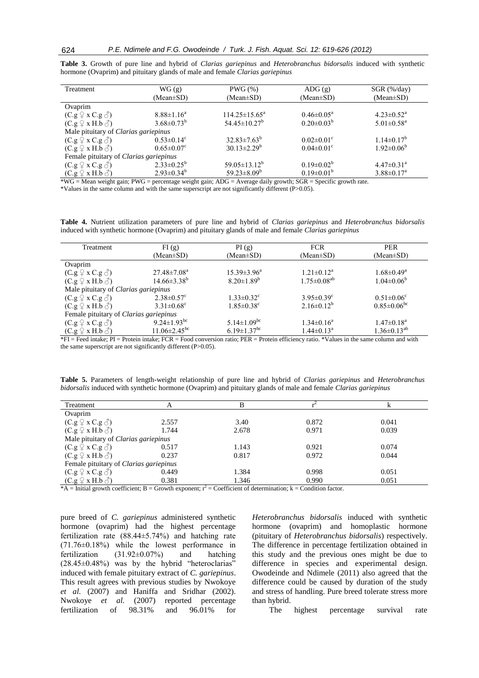| Treatment                                                                                                                                              | WG(g)                        | PWG(%)                         | $\text{ADG}(\mathfrak{g})$   | $SGR$ (%/day)                |  |  |  |  |
|--------------------------------------------------------------------------------------------------------------------------------------------------------|------------------------------|--------------------------------|------------------------------|------------------------------|--|--|--|--|
|                                                                                                                                                        | (Mean±SD)                    | $(Mean \pm SD)$                | (Mean±SD)                    | $(Mean \pm SD)$              |  |  |  |  |
| Ovaprim                                                                                                                                                |                              |                                |                              |                              |  |  |  |  |
| $(C.g \nsubseteq x C.g \nsubseteq)$                                                                                                                    | $8.88 \pm 1.16^a$            | $114.25 \pm 15.65^a$           | $0.46 \pm 0.05^{\text{a}}$   | $4.23 \pm 0.52^{\text{a}}$   |  |  |  |  |
| $(C.g \nsubseteq x H.b \nsubseteq)$                                                                                                                    | $3.68 \pm 0.73^b$            | $54.45 \pm 10.27^b$            | $0.20 \pm 0.03^b$            | $5.01 \pm 0.58$ <sup>a</sup> |  |  |  |  |
| Male pituitary of Clarias gariepinus                                                                                                                   |                              |                                |                              |                              |  |  |  |  |
| $(C.g \nsubseteq x C.g \nsubseteq)$                                                                                                                    | $0.53 \pm 0.14$ <sup>c</sup> | $32.83 \pm 7.63^b$             | $0.02 \pm 0.01$ <sup>c</sup> | $1.14 \pm 0.17^b$            |  |  |  |  |
| $(C.g \nsubseteq x H.b \nsubseteq)$                                                                                                                    | $0.65 \pm 0.07$ <sup>c</sup> | $30.13 \pm 2.29^b$             | $0.04 \pm 0.01$ <sup>c</sup> | $1.92 \pm 0.06^b$            |  |  |  |  |
| Female pituitary of Clarias gariepinus                                                                                                                 |                              |                                |                              |                              |  |  |  |  |
| $(C.g \nsubseteq x C.g \nsubseteq)$                                                                                                                    | $2.33 \pm 0.25^b$            | 59.05 $\pm$ 13.12 <sup>b</sup> | $0.19 \pm 0.02^b$            | $4.47 \pm 0.31$ <sup>a</sup> |  |  |  |  |
| $(C.g \nsubseteq x H.b \nsubseteq)$                                                                                                                    | $2.93 \pm 0.34^b$            | $59.23 \pm 8.09^b$             | $0.19 \pm 0.01^b$            | $3.88 \pm 0.17$ <sup>a</sup> |  |  |  |  |
| $*W/C = M_{200}$ would be admit $DW/C =$ concentrate would be admit $\Delta DC = \Lambda$ various dollar operator $CCD =$ Smoothing operation operator |                              |                                |                              |                              |  |  |  |  |

**Table 3.** Growth of pure line and hybrid of *Clarias gariepinus* and *Heterobranchus bidorsalis* induced with synthetic hormone (Ovaprim) and pituitary glands of male and female *Clarias gariepinus*

\*WG = Mean weight gain; PWG = percentage weight gain; ADG = Average daily growth; SGR = Specific growth rate. \*Values in the same column and with the same superscript are not significantly different (P>0.05).

**Table 4.** Nutrient utilization parameters of pure line and hybrid of *Clarias gariepinus* and *Heterobranchus bidorsalis* induced with synthetic hormone (Ovaprim) and pituitary glands of male and female *Clarias gariepinus*

| Treatment                              | FI(g)                          | PI(g)                         | <b>FCR</b>                   | <b>PER</b>                   |  |  |  |  |
|----------------------------------------|--------------------------------|-------------------------------|------------------------------|------------------------------|--|--|--|--|
|                                        | $(Mean \pm SD)$                | $(Mean \pm SD)$               | $(Mean \pm SD)$              | (Mean±SD)                    |  |  |  |  |
| Ovaprim                                |                                |                               |                              |                              |  |  |  |  |
| $(C.g \nsubseteq x C.g \nsubseteq)$    | $27.48 \pm 7.08^{\text{a}}$    | $15.39 \pm 3.96^a$            | $1.21 \pm 0.12^a$            | $1.68 \pm 0.49^{\text{a}}$   |  |  |  |  |
| $(C.g \nsubseteq x H.b \nsubseteq)$    | $14.66 \pm 3.38^b$             | $8.20 \pm 1.89^b$             | $1.75 \pm 0.08^{ab}$         | $1.04 \pm 0.06^b$            |  |  |  |  |
| Male pituitary of Clarias gariepinus   |                                |                               |                              |                              |  |  |  |  |
| $(C.g \nsubseteq x C.g \nsubseteq)$    | $2.38 \pm 0.57$ °              | $1.33 \pm 0.32$ <sup>c</sup>  | $3.95 \pm 0.39$ <sup>c</sup> | $0.51 \pm 0.06$ <sup>c</sup> |  |  |  |  |
| $(C.g \nsubseteq x H.b \nsubseteq)$    | $3.31 \pm 0.68$ <sup>c</sup>   | $1.85 \pm 0.38$ <sup>c</sup>  | 2.16 $\pm$ 0.12 <sup>b</sup> | $0.85 \pm 0.06^{\rm bc}$     |  |  |  |  |
| Female pituitary of Clarias gariepinus |                                |                               |                              |                              |  |  |  |  |
| $(C.g \nsubseteq x C.g \nsubseteq)$    | 9.24 $\pm$ 1.93 <sup>bc</sup>  | 5.14 $\pm$ 1.09 <sup>bc</sup> | $1.34 \pm 0.16^a$            | $1.47 \pm 0.18$ <sup>a</sup> |  |  |  |  |
| $(C.g \nsubseteq x H.b \nless$         | $11.06 \pm 2.45$ <sup>bc</sup> | $6.19 \pm 1.37$ <sup>bc</sup> | $1.44 \pm 0.13^{\text{a}}$   | $1.36 \pm 0.13^{ab}$         |  |  |  |  |

\*FI = Feed intake; PI = Protein intake; FCR = Food conversion ratio; PER = Protein efficiency ratio. \*Values in the same column and with the same superscript are not significantly different (P>0.05).

|                                                                                                                |  |  |  |  |  |  |  | Table 5. Parameters of length-weight relationship of pure line and hybrid of Clarias gariepinus and Heterobranchus |
|----------------------------------------------------------------------------------------------------------------|--|--|--|--|--|--|--|--------------------------------------------------------------------------------------------------------------------|
| bidorsalis induced with synthetic hormone (Ovaprim) and pituitary glands of male and female Clarias gariepinus |  |  |  |  |  |  |  |                                                                                                                    |

| Treatment                              | A     |       |       |       |
|----------------------------------------|-------|-------|-------|-------|
| Ovaprim                                |       |       |       |       |
| $(C.g \nsubseteq x C.g \nsubseteq)$    | 2.557 | 3.40  | 0.872 | 0.041 |
| $(C.g \nsubseteq x H.b \nsubseteq)$    | 1.744 | 2.678 | 0.971 | 0.039 |
| Male pituitary of Clarias gariepinus   |       |       |       |       |
| $(C.g \nsubseteq x C.g \nsubseteq)$    | 0.517 | 1.143 | 0.921 | 0.074 |
| $(C.g \nsubseteq x H.b \nsubseteq)$    | 0.237 | 0.817 | 0.972 | 0.044 |
| Female pituitary of Clarias gariepinus |       |       |       |       |
| $(C.g \nsubseteq x C.g \nsubseteq)$    | 0.449 | 1.384 | 0.998 | 0.051 |
| $(C.g \nsubseteq x H.b \nsubseteq)$    | 0.381 | 1.346 | 0.990 | 0.051 |

 $*A =$  Initial growth coefficient; B = Growth exponent;  $r^2$  = Coefficient of determination; k = Condition factor.

pure breed of *C. gariepinus* administered synthetic hormone (ovaprim) had the highest percentage fertilization rate (88.44±5.74%) and hatching rate (71.76±0.18%) while the lowest performance in fertilization (31.92±0.07%) and hatching  $(28.45\pm0.48\%)$  was by the hybrid "heteroclarias" induced with female pituitary extract of *C. gariepinus*. This result agrees with previous studies by Nwokoye *et al.* (2007) and Haniffa and Sridhar (2002). Nwokoye *et al.* (2007) reported percentage fertilization of 98.31% and 96.01% for

*Heterobranchus bidorsalis* induced with synthetic hormone (ovaprim) and homoplastic hormone (pituitary of *Heterobranchus bidorsalis*) respectively. The difference in percentage fertilization obtained in this study and the previous ones might be due to difference in species and experimental design. Owodeinde and Ndimele (2011) also agreed that the difference could be caused by duration of the study and stress of handling. Pure breed tolerate stress more than hybrid.

The highest percentage survival rate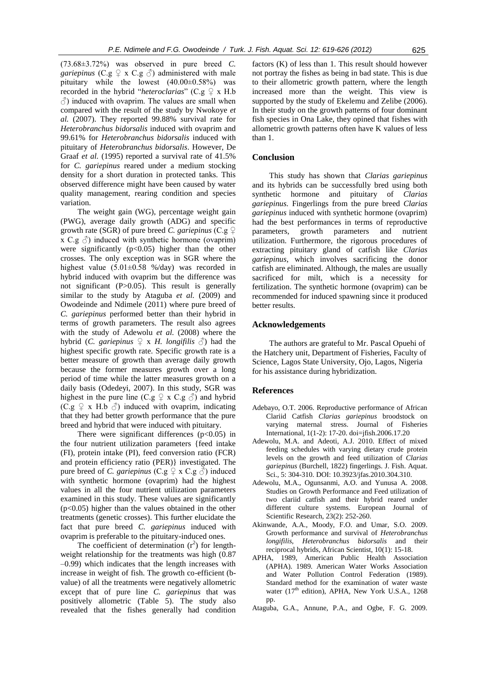(73.68±3.72%) was observed in pure breed *C. gariepinus* (C.g  $\varphi$  x C.g  $\varphi$ ) administered with male pituitary while the lowest (40.00±0.58%) was recorded in the hybrid "*heteroclarias*" (C.g  $\subsetneq$  x H.b  $\Diamond$ ) induced with ovaprim. The values are small when compared with the result of the study by Nwokoye *et al.* (2007). They reported 99.88% survival rate for *Heterobranchus bidorsalis* induced with ovaprim and 99.61% for *Heterobranchus bidorsalis* induced with pituitary of *Heterobranchus bidorsalis*. However, De Graaf *et al.* (1995) reported a survival rate of 41.5% for *C. gariepinus* reared under a medium stocking density for a short duration in protected tanks. This observed difference might have been caused by water quality management, rearing condition and species variation.

The weight gain (WG), percentage weight gain (PWG), average daily growth (ADG) and specific growth rate (SGR) of pure breed *C. gariepinus* (C.g ♀ x C.g  $\Diamond$ ) induced with synthetic hormone (ovaprim) were significantly (p<0.05) higher than the other crosses. The only exception was in SGR where the highest value (5.01±0.58 %/day) was recorded in hybrid induced with ovaprim but the difference was not significant (P>0.05). This result is generally similar to the study by Ataguba *et al.* (2009) and Owodeinde and Ndimele (2011) where pure breed of *C. gariepinus* performed better than their hybrid in terms of growth parameters. The result also agrees with the study of Adewolu *et al.* (2008) where the hybrid (*C. gariepinus*  $\varphi$  x *H. longifilis*  $\varphi$ ) had the highest specific growth rate. Specific growth rate is a better measure of growth than average daily growth because the former measures growth over a long period of time while the latter measures growth on a daily basis (Odedeyi, 2007). In this study, SGR was highest in the pure line (C.g  $\varphi$  x C.g  $\varphi$ ) and hybrid  $(C.g \nsubseteq x H.b \nsubseteq)$  induced with ovaprim, indicating that they had better growth performance that the pure breed and hybrid that were induced with pituitary.

There were significant differences  $(p<0.05)$  in the four nutrient utilization parameters {feed intake (FI), protein intake (PI), feed conversion ratio (FCR) and protein efficiency ratio (PER)} investigated. The pure breed of *C. gariepinus* (C.g  $\varphi$  x C.g  $\varphi$ ) induced with synthetic hormone (ovaprim) had the highest values in all the four nutrient utilization parameters examined in this study. These values are significantly  $(p<0.05)$  higher than the values obtained in the other treatments (genetic crosses). This further elucidate the fact that pure breed *C. gariepinus* induced with ovaprim is preferable to the pituitary-induced ones.

The coefficient of determination  $(r^2)$  for lengthweight relationship for the treatments was high (0.87 –0.99) which indicates that the length increases with increase in weight of fish. The growth co-efficient (bvalue) of all the treatments were negatively allometric except that of pure line *C. gariepinus* that was positively allometric (Table 5). The study also revealed that the fishes generally had condition factors (K) of less than 1. This result should however not portray the fishes as being in bad state. This is due to their allometric growth pattern, where the length increased more than the weight. This view is supported by the study of Ekelemu and Zelibe (2006). In their study on the growth patterns of four dominant fish species in Ona Lake, they opined that fishes with allometric growth patterns often have K values of less than 1.

## **Conclusion**

This study has shown that *Clarias gariepinus* and its hybrids can be successfully bred using both synthetic hormone and pituitary of *Clarias gariepinus.* Fingerlings from the pure breed *Clarias gariepinus* induced with synthetic hormone (ovaprim) had the best performances in terms of reproductive parameters, growth parameters and nutrient utilization. Furthermore, the rigorous procedures of extracting pituitary gland of catfish like *Clarias gariepinus*, which involves sacrificing the donor catfish are eliminated. Although, the males are usually sacrificed for milt, which is a necessity for fertilization. The synthetic hormone (ovaprim) can be recommended for induced spawning since it produced better results.

#### **Acknowledgements**

The authors are grateful to Mr. Pascal Opuehi of the Hatchery unit, Department of Fisheries, Faculty of Science, Lagos State University, Ojo, Lagos, Nigeria for his assistance during hybridization.

#### **References**

- Adebayo, O.T. 2006. Reproductive performance of African Clariid Catfish *Clarias gariepinus* broodstock on varying maternal stress. Journal of Fisheries International, 1(1-2): 17-20. doi=jfish.2006.17.20
- Adewolu, M.A. and Adeoti, A.J. 2010. Effect of mixed feeding schedules with varying dietary crude protein levels on the growth and feed utilization of *Clarias gariepinus* (Burchell, 1822) fingerlings. J. Fish. Aquat. Sci., 5: 304-310. DOI: 10.3923/jfas.2010.304.310.
- Adewolu, M.A., Ogunsanmi, A.O. and Yunusa A. 2008. Studies on Growth Performance and Feed utilization of two clariid catfish and their hybrid reared under different culture systems. European Journal of Scientific Research, 23(2): 252-260.
- Akinwande, A.A., Moody, F.O. and Umar, S.O. 2009. Growth performance and survival of *Heterobranchus longifilis*, *Heterobranchus bidorsalis* and their reciprocal hybrids, African Scientist, 10(1): 15-18.
- APHA, 1989, American Public Health Association (APHA). 1989. American Water Works Association and Water Pollution Control Federation (1989). Standard method for the examination of water waste water (17<sup>th</sup> edition), APHA, New York U.S.A., 1268 pp.
- Ataguba, G.A., Annune, P.A., and Ogbe, F. G. 2009.